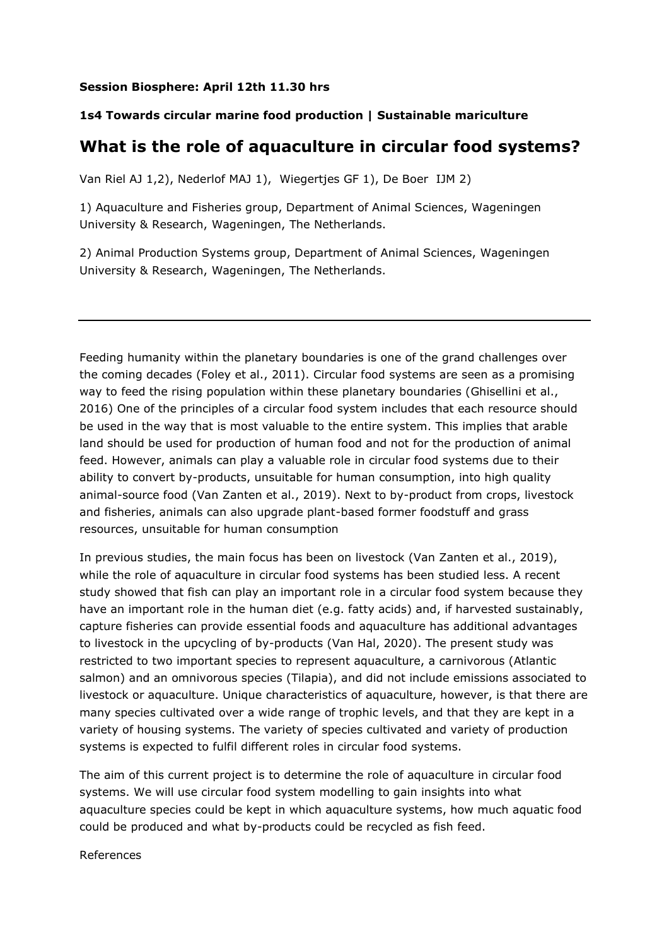## **Session Biosphere: April 12th 11.30 hrs**

## **1s4 Towards circular marine food production | Sustainable mariculture**

## **What is the role of aquaculture in circular food systems?**

Van Riel AJ 1,2), Nederlof MAJ 1), Wiegertjes GF 1), De Boer IJM 2)

1) Aquaculture and Fisheries group, Department of Animal Sciences, Wageningen University & Research, Wageningen, The Netherlands.

2) Animal Production Systems group, Department of Animal Sciences, Wageningen University & Research, Wageningen, The Netherlands.

Feeding humanity within the planetary boundaries is one of the grand challenges over the coming decades (Foley et al., 2011). Circular food systems are seen as a promising way to feed the rising population within these planetary boundaries (Ghisellini et al., 2016) One of the principles of a circular food system includes that each resource should be used in the way that is most valuable to the entire system. This implies that arable land should be used for production of human food and not for the production of animal feed. However, animals can play a valuable role in circular food systems due to their ability to convert by-products, unsuitable for human consumption, into high quality animal-source food (Van Zanten et al., 2019). Next to by-product from crops, livestock and fisheries, animals can also upgrade plant-based former foodstuff and grass resources, unsuitable for human consumption

In previous studies, the main focus has been on livestock (Van Zanten et al., 2019), while the role of aquaculture in circular food systems has been studied less. A recent study showed that fish can play an important role in a circular food system because they have an important role in the human diet (e.g. fatty acids) and, if harvested sustainably, capture fisheries can provide essential foods and aquaculture has additional advantages to livestock in the upcycling of by-products (Van Hal, 2020). The present study was restricted to two important species to represent aquaculture, a carnivorous (Atlantic salmon) and an omnivorous species (Tilapia), and did not include emissions associated to livestock or aquaculture. Unique characteristics of aquaculture, however, is that there are many species cultivated over a wide range of trophic levels, and that they are kept in a variety of housing systems. The variety of species cultivated and variety of production systems is expected to fulfil different roles in circular food systems.

The aim of this current project is to determine the role of aquaculture in circular food systems. We will use circular food system modelling to gain insights into what aquaculture species could be kept in which aquaculture systems, how much aquatic food could be produced and what by-products could be recycled as fish feed.

References